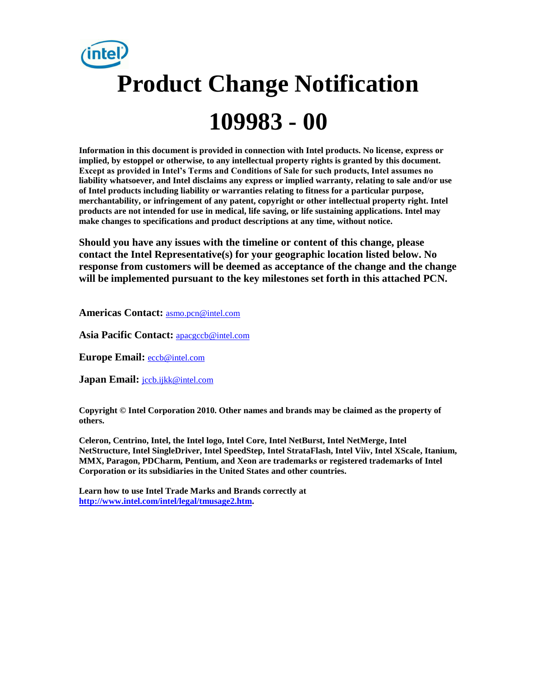# **Product Change Notification 109983 - 00**

**Information in this document is provided in connection with Intel products. No license, express or implied, by estoppel or otherwise, to any intellectual property rights is granted by this document. Except as provided in Intel's Terms and Conditions of Sale for such products, Intel assumes no liability whatsoever, and Intel disclaims any express or implied warranty, relating to sale and/or use of Intel products including liability or warranties relating to fitness for a particular purpose, merchantability, or infringement of any patent, copyright or other intellectual property right. Intel products are not intended for use in medical, life saving, or life sustaining applications. Intel may make changes to specifications and product descriptions at any time, without notice.**

**Should you have any issues with the timeline or content of this change, please contact the Intel Representative(s) for your geographic location listed below. No response from customers will be deemed as acceptance of the change and the change will be implemented pursuant to the key milestones set forth in this attached PCN.** 

**Americas Contact:** [asmo.pcn@intel.com](mailto:asmo.pcn@intel.com) 

**Asia Pacific Contact:** [apacgccb@intel.com](mailto:apacgccb@intel.com) 

**Europe Email:** [eccb@intel.com](mailto:eccb@intel.com) 

**Japan Email:** [jccb.ijkk@intel.com](mailto:jccb.ijkk@intel.com) 

**Copyright © Intel Corporation 2010. Other names and brands may be claimed as the property of others.**

**Celeron, Centrino, Intel, the Intel logo, Intel Core, Intel NetBurst, Intel NetMerge, Intel NetStructure, Intel SingleDriver, Intel SpeedStep, Intel StrataFlash, Intel Viiv, Intel XScale, Itanium, MMX, Paragon, PDCharm, Pentium, and Xeon are trademarks or registered trademarks of Intel Corporation or its subsidiaries in the United States and other countries.**

**Learn how to use Intel Trade Marks and Brands correctly at [http://www.intel.com/intel/legal/tmusage2.htm.](http://www.intel.com/intel/legal/tmusage2.htm)**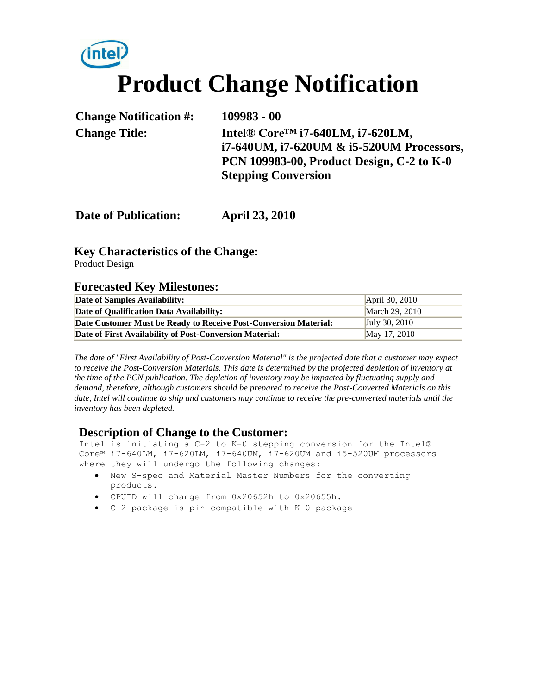# **Product Change Notification**

**Change Notification #: 109983 - 00 Change Title: Intel® Core™ i7-640LM, i7-620LM, i7-640UM, i7-620UM & i5-520UM Processors, PCN 109983-00, Product Design, C-2 to K-0 Stepping Conversion**

**Date of Publication: April 23, 2010**

# **Key Characteristics of the Change:**

Product Design

### **Forecasted Key Milestones:**

| Date of Samples Availability:                                    | April 30, 2010  |
|------------------------------------------------------------------|-----------------|
| Date of Qualification Data Availability:                         | March 29, 2010  |
| Date Customer Must be Ready to Receive Post-Conversion Material: | July 30, $2010$ |
| Date of First Availability of Post-Conversion Material:          | May 17, 2010    |

*The date of "First Availability of Post-Conversion Material" is the projected date that a customer may expect to receive the Post-Conversion Materials. This date is determined by the projected depletion of inventory at the time of the PCN publication. The depletion of inventory may be impacted by fluctuating supply and demand, therefore, although customers should be prepared to receive the Post-Converted Materials on this date, Intel will continue to ship and customers may continue to receive the pre-converted materials until the inventory has been depleted.*

# **Description of Change to the Customer:**

Intel is initiating a C-2 to K-0 stepping conversion for the Intel® Core™ i7-640LM, i7-620LM, i7-640UM, i7-620UM and i5-520UM processors where they will undergo the following changes:

- New S-spec and Material Master Numbers for the converting products.
- CPUID will change from 0x20652h to 0x20655h.
- C-2 package is pin compatible with K-0 package